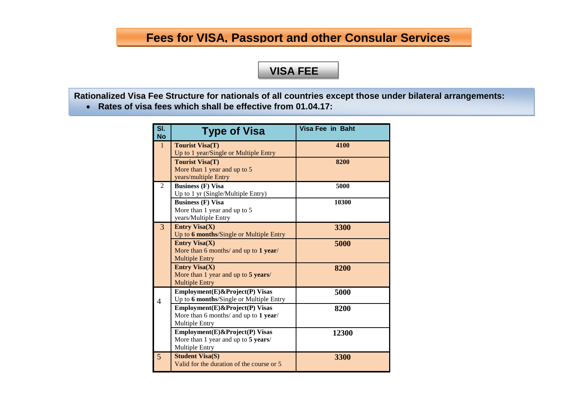# **Fees for VISA, Passport and other Consular Services**

# **VISA FEE**

**Rationalized Visa Fee Structure for nationals of all countries except those under bilateral arrangements: Rates of visa fees which shall be effective from 01.04.17:** 

**FEE**

**Sl. No Type of Visa Visa Fee in Baht** 1 **Tourist Visa(T)** Up to 1 year/Single or Multiple Entry **4100 Tourist Visa(T)** More than 1 year and up to 5 years/multiple Entry **8200** 2 **Business (F) Visa** Up to 1 yr (Single/Multiple Entry) **5000 Business (F) Visa** More than 1 year and up to 5 years/Multiple Entry **10300** 3 **Entry Visa(X)** Up to **6 months**/Single or Multiple Entry **3300 Entry Visa(X)** More than 6 months/ and up to **1 year**/ Multiple Entry **5000 Entry Visa(X)** More than 1 year and up to **5 years**/ Multiple Entry **8200** 4 **Employment(E)&Project(P) Visas** Up to **6 months**/Single or Multiple Entry **5000 Employment(E)&Project(P) Visas** More than 6 months/ and up to **1 year**/ Multiple Entry **8200 Employment(E)&Project(P) Visas** More than 1 year and up to **5 years**/ Multiple Entry **12300** 5 **Student Visa(S)** Valid for the duration of the course or 5 **3300**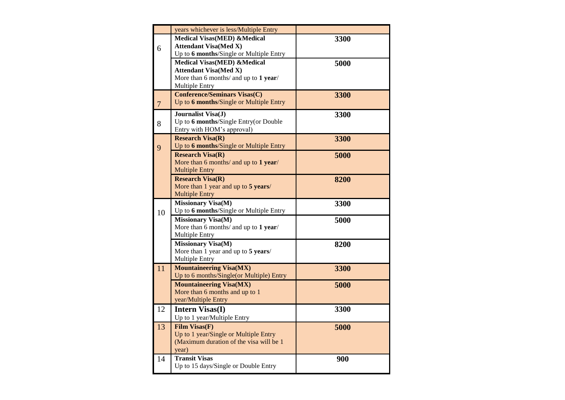|                | years whichever is less/Multiple Entry                                  |      |
|----------------|-------------------------------------------------------------------------|------|
|                | <b>Medical Visas(MED) &amp;Medical</b>                                  | 3300 |
| 6              | <b>Attendant Visa(Med X)</b><br>Up to 6 months/Single or Multiple Entry |      |
|                | <b>Medical Visas(MED) &amp;Medical</b>                                  | 5000 |
|                | <b>Attendant Visa(Med X)</b>                                            |      |
|                | More than 6 months/ and up to 1 year/                                   |      |
|                | Multiple Entry<br><b>Conference/Seminars Visas(C)</b>                   |      |
| $\overline{7}$ | Up to 6 months/Single or Multiple Entry                                 | 3300 |
|                | Journalist Visa(J)                                                      | 3300 |
| 8              | Up to 6 months/Single Entry(or Double                                   |      |
|                | Entry with HOM's approval)                                              |      |
|                | <b>Research Visa(R)</b>                                                 | 3300 |
| 9              | Up to 6 months/Single or Multiple Entry                                 |      |
|                | <b>Research Visa(R)</b><br>More than 6 months/ and up to 1 year/        | 5000 |
|                | <b>Multiple Entry</b>                                                   |      |
|                | <b>Research Visa(R)</b>                                                 | 8200 |
|                | More than 1 year and up to 5 years/                                     |      |
|                | <b>Multiple Entry</b>                                                   |      |
|                | <b>Missionary Visa(M)</b>                                               | 3300 |
| 10             | Up to 6 months/Single or Multiple Entry                                 |      |
|                | Missionary Visa(M)<br>More than 6 months/ and up to 1 year/             | 5000 |
|                | Multiple Entry                                                          |      |
|                | <b>Missionary Visa(M)</b>                                               |      |
|                |                                                                         |      |
|                | More than 1 year and up to 5 years/                                     | 8200 |
|                | Multiple Entry                                                          |      |
| 11             | <b>Mountaineering Visa(MX)</b>                                          | 3300 |
|                | Up to 6 months/Single(or Multiple) Entry                                |      |
|                | <b>Mountaineering Visa(MX)</b><br>More than 6 months and up to 1        | 5000 |
|                | year/Multiple Entry                                                     |      |
| 12             | <b>Intern Visas(I)</b>                                                  | 3300 |
|                | Up to 1 year/Multiple Entry                                             |      |
| 13             | <b>Film Visas(F)</b>                                                    | 5000 |
|                | Up to 1 year/Single or Multiple Entry                                   |      |
|                | (Maximum duration of the visa will be 1                                 |      |
|                | year)<br><b>Transit Visas</b>                                           |      |
| 14             | Up to 15 days/Single or Double Entry                                    | 900  |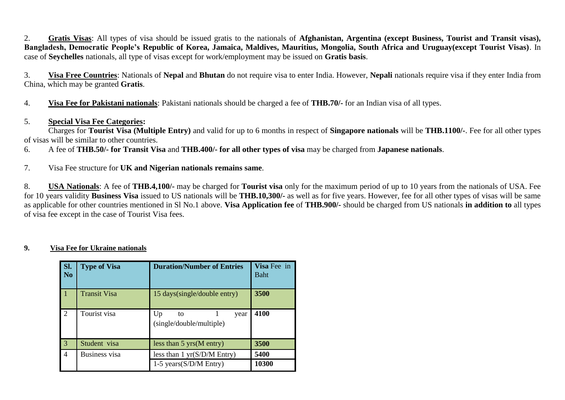2. **Gratis Visas**: All types of visa should be issued gratis to the nationals of **Afghanistan, Argentina (except Business, Tourist and Transit visas), Bangladesh, Democratic People's Republic of Korea, Jamaica, Maldives, Mauritius, Mongolia, South Africa and Uruguay(except Tourist Visas)**. In case of **Seychelles** nationals, all type of visas except for work/employment may be issued on **Gratis basis**.

3. **Visa Free Countries**: Nationals of **Nepal** and **Bhutan** do not require visa to enter India. However, **Nepali** nationals require visa if they enter India from China, which may be granted **Gratis**.

4. **Visa Fee for Pakistani nationals**: Pakistani nationals should be charged a fee of **THB.70/-** for an Indian visa of all types.

### 5. **Special Visa Fee Categories:**

Charges for **Tourist Visa (Multiple Entry)** and valid for up to 6 months in respect of **Singapore nationals** will be **THB.1100/-**. Fee for all other types of visas will be similar to other countries.

6. A fee of **THB.50/- for Transit Visa** and **THB.400/- for all other types of visa** may be charged from **Japanese nationals**.

7. Visa Fee structure for **UK and Nigerian nationals remains same**.

8. **USA Nationals**: A fee of **THB.4,100/-** may be charged for **Tourist visa** only for the maximum period of up to 10 years from the nationals of USA. Fee for 10 years validity **Business Visa** issued to US nationals will be **THB.10,300/-** as well as for five years. However, fee for all other types of visas will be same as applicable for other countries mentioned in Sl No.1 above. **Visa Application fee** of **THB.900/-** should be charged from US nationals **in addition to** all types of visa fee except in the case of Tourist Visa fees.

#### **9. Visa Fee for Ukraine nationals**

| SI.<br>N <sub>0</sub> | <b>Type of Visa</b>  | <b>Duration/Number of Entries</b>            | Visa Fee in<br><b>Baht</b> |
|-----------------------|----------------------|----------------------------------------------|----------------------------|
| $\vert$ 1             | <b>Transit Visa</b>  | 15 days(single/double entry)                 | 3500                       |
| 2                     | Tourist visa         | Up<br>to<br>year<br>(single/double/multiple) | 4100                       |
| 3                     | Student visa         | less than $5 \text{ yrs}(\text{M entry})$    | 3500                       |
| $\overline{4}$        | <b>Business</b> visa | less than 1 yr(S/D/M Entry)                  | 5400                       |
|                       |                      | 1-5 years(S/D/M Entry)                       | 10300                      |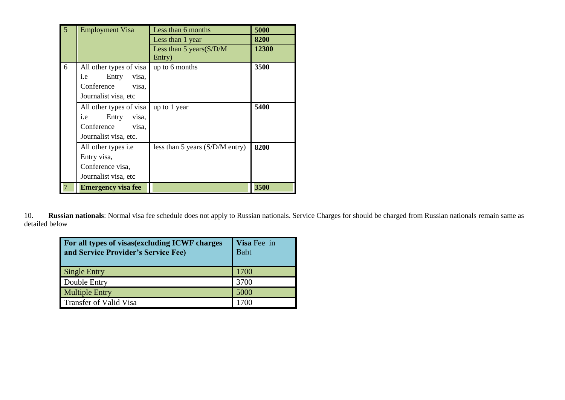| $\overline{5}$ | <b>Employment Visa</b>       | Less than 6 months                | 5000  |
|----------------|------------------------------|-----------------------------------|-------|
|                |                              | Less than 1 year                  | 8200  |
|                |                              | Less than 5 years $(S/D/M)$       | 12300 |
|                |                              | Entry)                            |       |
| 6              | All other types of visa      | up to 6 months                    | 3500  |
|                | Entry<br>visa,<br>i.e        |                                   |       |
|                | Conference<br>visa,          |                                   |       |
|                | Journalist visa, etc         |                                   |       |
|                | All other types of visa      | up to 1 year                      | 5400  |
|                | <i>i.e</i><br>visa,<br>Entry |                                   |       |
|                | Conference<br>visa,          |                                   |       |
|                | Journalist visa, etc.        |                                   |       |
|                | All other types <i>i.e</i>   | less than 5 years $(S/D/M$ entry) | 8200  |
|                | Entry visa,                  |                                   |       |
|                | Conference visa,             |                                   |       |
|                | Journalist visa, etc         |                                   |       |
|                | <b>Emergency visa fee</b>    |                                   | 3500  |

10. **Russian nationals**: Normal visa fee schedule does not apply to Russian nationals. Service Charges for should be charged from Russian nationals remain same as detailed below

| For all types of visas(excluding ICWF charges<br>and Service Provider's Service Fee) | Visa Fee in<br><b>Baht</b> |
|--------------------------------------------------------------------------------------|----------------------------|
| <b>Single Entry</b>                                                                  | 1700                       |
| Double Entry                                                                         | 3700                       |
| <b>Multiple Entry</b>                                                                | 5000                       |
| <b>Transfer of Valid Visa</b>                                                        | 700                        |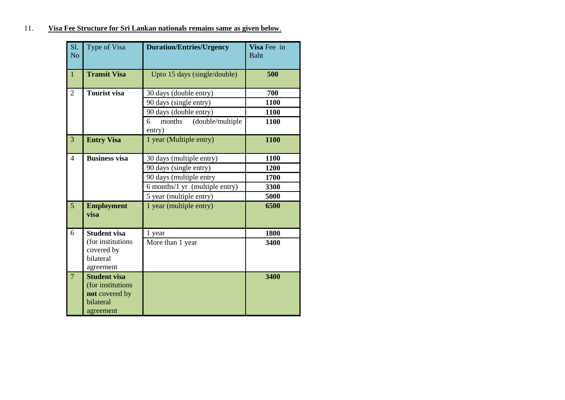## 11. **Visa Fee Structure for Sri Lankan nationals remains same as given below**.

| Sl.<br>N <sub>o</sub> | Type of Visa                                                                         | <b>Duration/Entries/Urgency</b>           | Visa Fee in<br><b>Baht</b> |
|-----------------------|--------------------------------------------------------------------------------------|-------------------------------------------|----------------------------|
| $\mathbf{1}$          | <b>Transit Visa</b>                                                                  | Upto 15 days (single/double)              | 500                        |
| $\overline{2}$        | <b>Tourist visa</b>                                                                  | 30 days (double entry)                    | 700                        |
|                       |                                                                                      | 90 days (single entry)                    | 1100                       |
|                       |                                                                                      | 90 days (double entry)                    | 1100                       |
|                       |                                                                                      | (double/multiple<br>6<br>months<br>entry) | 1100                       |
| 3                     | <b>Entry Visa</b>                                                                    | 1 year (Multiple entry)                   | 1100                       |
| $\overline{4}$        | <b>Business visa</b>                                                                 | 30 days (multiple entry)                  | 1100                       |
|                       |                                                                                      | 90 days (single entry)                    | 1200                       |
|                       |                                                                                      | 90 days (multiple entry                   | 1700                       |
|                       |                                                                                      | 6 months/1 yr (multiple entry)            | 3300                       |
|                       |                                                                                      | 5 year (multiple entry)                   | 5000                       |
| 5                     | <b>Employment</b><br>visa                                                            | 1 year (multiple entry)                   | 6500                       |
| 6                     | <b>Student visa</b>                                                                  | 1 year                                    | 1800                       |
|                       | (for institutions                                                                    | More than 1 year                          | 3400                       |
|                       | covered by<br>bilateral                                                              |                                           |                            |
|                       | agreement                                                                            |                                           |                            |
| $\overline{7}$        | <b>Student visa</b><br>(for institutions<br>not covered by<br>bilateral<br>agreement |                                           | 3400                       |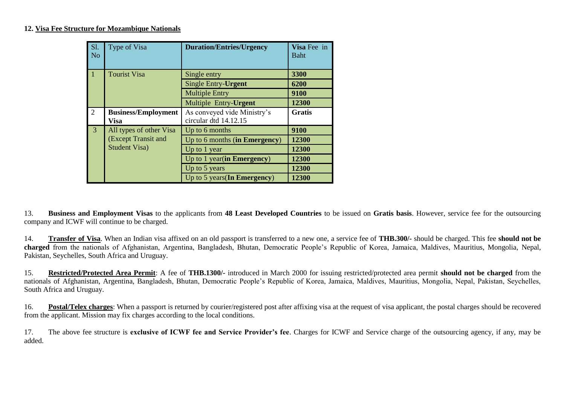#### **12. Visa Fee Structure for Mozambique Nationals**

| <b>S1.</b><br>N <sub>o</sub> | Type of Visa                                | <b>Duration/Entries/Urgency</b>                      | Visa Fee in<br><b>Baht</b> |
|------------------------------|---------------------------------------------|------------------------------------------------------|----------------------------|
| $\overline{11}$              | <b>Tourist Visa</b>                         | Single entry                                         | 3300                       |
|                              |                                             | Single Entry-Urgent                                  | 6200                       |
|                              |                                             | <b>Multiple Entry</b>                                | 9100                       |
|                              |                                             | Multiple Entry-Urgent                                | 12300                      |
| 2                            | <b>Business/Employment</b><br>Visa          | As conveyed vide Ministry's<br>circular dtd 14.12.15 | <b>Gratis</b>              |
| $\overline{3}$               | All types of other Visa                     | Up to 6 months                                       | 9100                       |
|                              | (Except Transit and<br><b>Student Visa)</b> | Up to 6 months (in Emergency)                        | 12300                      |
|                              |                                             | Up to 1 year                                         | 12300                      |
|                              |                                             | Up to $1$ year(in Emergency)                         | 12300                      |
|                              |                                             | Up to 5 years                                        | 12300                      |
|                              |                                             | Up to $5$ years(In Emergency)                        | 12300                      |

13. **Business and Employment Visas** to the applicants from **48 Least Developed Countries** to be issued on **Gratis basis**. However, service fee for the outsourcing company and ICWF will continue to be charged.

14. **Transfer of Visa**. When an Indian visa affixed on an old passport is transferred to a new one, a service fee of **THB.300/-** should be charged. This fee **should not be charged** from the nationals of Afghanistan, Argentina, Bangladesh, Bhutan, Democratic People's Republic of Korea, Jamaica, Maldives, Mauritius, Mongolia, Nepal, Pakistan, Seychelles, South Africa and Uruguay.

15. **Restricted/Protected Area Permit**: A fee of **THB.1300/-** introduced in March 2000 for issuing restricted/protected area permit **should not be charged** from the nationals of Afghanistan, Argentina, Bangladesh, Bhutan, Democratic People's Republic of Korea, Jamaica, Maldives, Mauritius, Mongolia, Nepal, Pakistan, Seychelles, South Africa and Uruguay.

16. **Postal/Telex charges**: When a passport is returned by courier/registered post after affixing visa at the request of visa applicant, the postal charges should be recovered from the applicant. Mission may fix charges according to the local conditions.

17. The above fee structure is **exclusive of ICWF fee and Service Provider's fee**. Charges for ICWF and Service charge of the outsourcing agency, if any, may be added.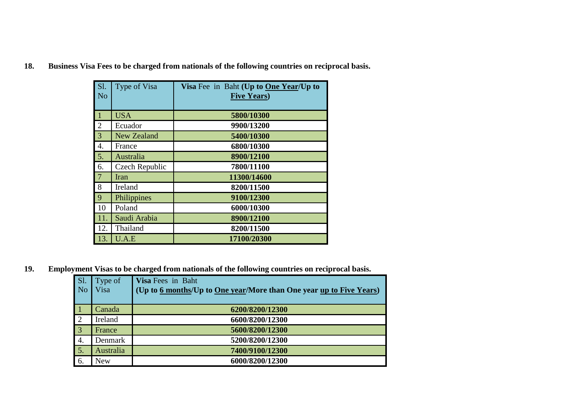|  | <b>18.</b> |  |  |  |  | Business Visa Fees to be charged from nationals of the following countries on reciprocal basis. |
|--|------------|--|--|--|--|-------------------------------------------------------------------------------------------------|
|--|------------|--|--|--|--|-------------------------------------------------------------------------------------------------|

| S1.<br>N <sub>0</sub> | Type of Visa   | Visa Fee in Baht (Up to One Year/Up to<br><b>Five Years</b> ) |
|-----------------------|----------------|---------------------------------------------------------------|
|                       |                |                                                               |
| $\mathbf{1}$          | <b>USA</b>     | 5800/10300                                                    |
| $\overline{2}$        | Ecuador        | 9900/13200                                                    |
| 3                     | New Zealand    | 5400/10300                                                    |
| 4.                    | France         | 6800/10300                                                    |
| 5.                    | Australia      | 8900/12100                                                    |
| 6.                    | Czech Republic | 7800/11100                                                    |
| $\overline{7}$        | Iran           | 11300/14600                                                   |
| 8                     | Ireland        | 8200/11500                                                    |
| 9                     | Philippines    | 9100/12300                                                    |
| 10                    | Poland         | 6000/10300                                                    |
| 11.                   | Saudi Arabia   | 8900/12100                                                    |
| 12.                   | Thailand       | 8200/11500                                                    |
| 13.                   | U.A.E          | 17100/20300                                                   |

**19. Employment Visas to be charged from nationals of the following countries on reciprocal basis.**

| $\overline{SI}$ . | Type of    | Visa Fees in Baht                                                   |
|-------------------|------------|---------------------------------------------------------------------|
| No                | Visa       | (Up to 6 months/Up to One year/More than One year up to Five Years) |
|                   |            |                                                                     |
| $\vert$ 1         | Canada     | 6200/8200/12300                                                     |
| $\overline{2}$    | Ireland    | 6600/8200/12300                                                     |
| $\overline{3}$    | France     | 5600/8200/12300                                                     |
| <sup>1</sup> 4.   | Denmark    | 5200/8200/12300                                                     |
| $\overline{5}$ .  | Australia  | 7400/9100/12300                                                     |
| 6.                | <b>New</b> | 6000/8200/12300                                                     |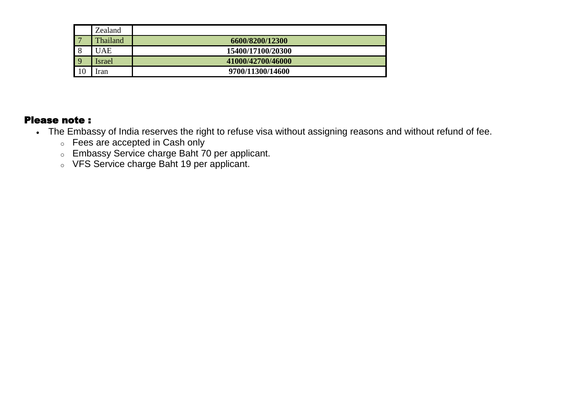|                | Zealand  |                   |
|----------------|----------|-------------------|
|                | Thailand | 6600/8200/12300   |
| 8              | JAE      | 15400/17100/20300 |
| $\overline{9}$ | Israel   | 41000/42700/46000 |
| 10             | iran     | 9700/11300/14600  |

## Please note :

- The Embassy of India reserves the right to refuse visa without assigning reasons and without refund of fee.
	- o Fees are accepted in Cash only
	- o Embassy Service charge Baht 70 per applicant.
	- o VFS Service charge Baht 19 per applicant.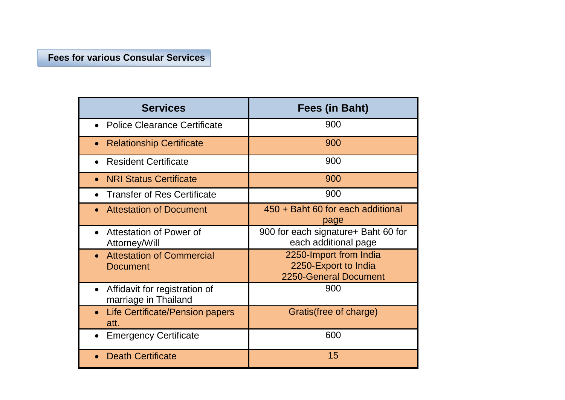# **Fees for various Consular Services**

| <b>Services</b>                                       | Fees (in Baht)                                                          |
|-------------------------------------------------------|-------------------------------------------------------------------------|
| <b>Police Clearance Certificate</b>                   | 900                                                                     |
| <b>Relationship Certificate</b>                       | 900                                                                     |
| <b>Resident Certificate</b>                           | 900                                                                     |
| <b>NRI Status Certificate</b>                         | 900                                                                     |
| <b>Transfer of Res Certificate</b>                    | 900                                                                     |
| <b>Attestation of Document</b>                        | 450 + Baht 60 for each additional<br>page                               |
| Attestation of Power of<br>Attorney/Will              | 900 for each signature + Baht 60 for<br>each additional page            |
| <b>Attestation of Commercial</b><br><b>Document</b>   | 2250-Import from India<br>2250-Export to India<br>2250-General Document |
| Affidavit for registration of<br>marriage in Thailand | 900                                                                     |
| Life Certificate/Pension papers<br>att.               | Gratis (free of charge)                                                 |
| <b>Emergency Certificate</b>                          | 600                                                                     |
| <b>Death Certificate</b>                              | 15                                                                      |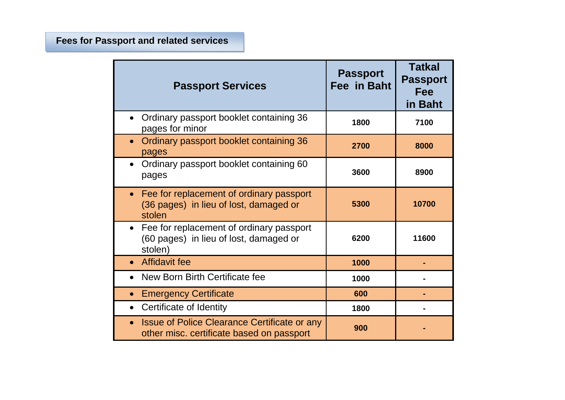# **Fees for Passport and related services**

| <b>Passport Services</b>                                                                                  | <b>Passport</b><br>Fee in Baht | <b>Tatkal</b><br><b>Passport</b><br>Fee<br>in Baht |
|-----------------------------------------------------------------------------------------------------------|--------------------------------|----------------------------------------------------|
| Ordinary passport booklet containing 36<br>pages for minor                                                | 1800                           | 7100                                               |
| Ordinary passport booklet containing 36<br>$\bullet$<br>pages                                             | 2700                           | 8000                                               |
| Ordinary passport booklet containing 60<br>pages                                                          | 3600                           | 8900                                               |
| Fee for replacement of ordinary passport<br>$\bullet$<br>(36 pages) in lieu of lost, damaged or<br>stolen | 5300                           | 10700                                              |
| Fee for replacement of ordinary passport<br>(60 pages) in lieu of lost, damaged or<br>stolen)             | 6200                           | 11600                                              |
| <b>Affidavit fee</b>                                                                                      | 1000                           |                                                    |
| New Born Birth Certificate fee                                                                            | 1000                           |                                                    |
| <b>Emergency Certificate</b><br>$\bullet$                                                                 | 600                            |                                                    |
| Certificate of Identity                                                                                   | 1800                           |                                                    |
| Issue of Police Clearance Certificate or any<br>other misc. certificate based on passport                 | 900                            |                                                    |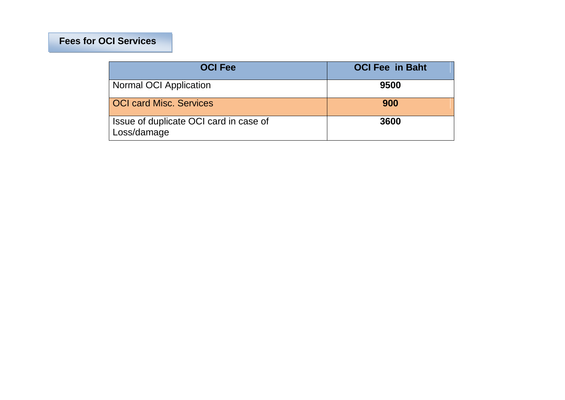## **Fees for OCI Services**

| <b>OCI Fee</b>                                        | <b>OCI Fee in Baht</b> |
|-------------------------------------------------------|------------------------|
| <b>Normal OCI Application</b>                         | 9500                   |
| <b>OCI card Misc. Services</b>                        | 900                    |
| Issue of duplicate OCI card in case of<br>Loss/damage | 3600                   |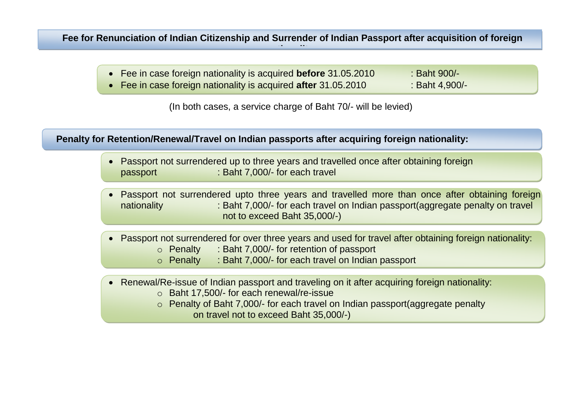**Fee for Renunciation of Indian Citizenship and Surrender of Indian Passport after acquisition of foreign nationality**

- Fee in case foreign nationality is acquired **before** 31.05.2010 : Baht 900/-
- Fee in case foreign nationality is acquired **after** 31.05.2010 : Baht 4,900/-

(In both cases, a service charge of Baht 70/- will be levied)

 **Penalty for Retention/Renewal/Travel on Indian passports after acquiring foreign nationality:** 

- Passport not surrendered up to three years and travelled once after obtaining foreign passport : Baht 7,000/- for each travel
- Passport not surrendered upto three years and travelled more than once after obtaining foreign nationality : Baht 7,000/- for each travel on Indian passport(aggregate penalty on travel not to exceed Baht 35,000/-)
- Passport not surrendered for over three years and used for travel after obtaining foreign nationality:
	- o Penalty : Baht 7,000/- for retention of passport
	- o Penalty : Baht 7,000/- for each travel on Indian passport
- Renewal/Re-issue of Indian passport and traveling on it after acquiring foreign nationality:
	- o Baht 17,500/- for each renewal/re-issue
	- o Penalty of Baht 7,000/- for each travel on Indian passport(aggregate penalty on travel not to exceed Baht 35,000/-)